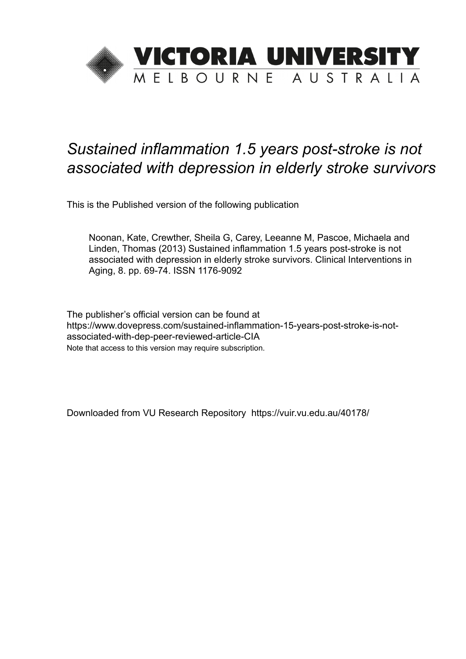

## *Sustained inflammation 1.5 years post-stroke is not associated with depression in elderly stroke survivors*

This is the Published version of the following publication

Noonan, Kate, Crewther, Sheila G, Carey, Leeanne M, Pascoe, Michaela and Linden, Thomas (2013) Sustained inflammation 1.5 years post-stroke is not associated with depression in elderly stroke survivors. Clinical Interventions in Aging, 8. pp. 69-74. ISSN 1176-9092

The publisher's official version can be found at https://www.dovepress.com/sustained-inflammation-15-years-post-stroke-is-notassociated-with-dep-peer-reviewed-article-CIA Note that access to this version may require subscription.

Downloaded from VU Research Repository https://vuir.vu.edu.au/40178/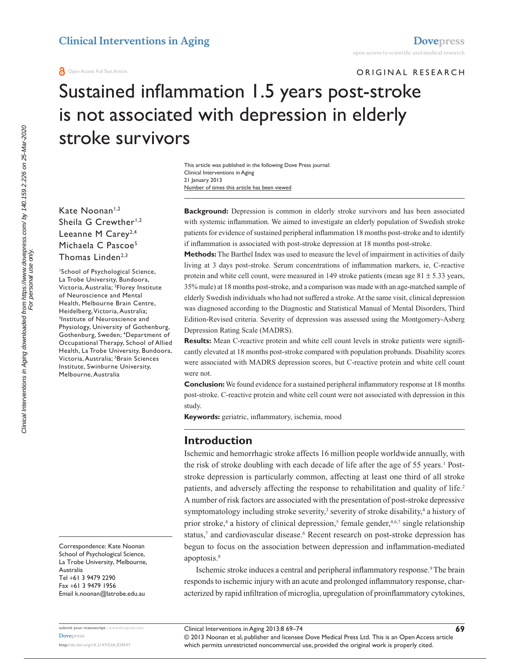ORIGINAL RESEARCH

# Sustained inflammation 1.5 years post-stroke is not associated with depression in elderly stroke survivors

Number of times this article has been viewed This article was published in the following Dove Press journal: Clinical Interventions in Aging 21 January 2013

Kate Noonan<sup>1,2</sup> Sheila G Crewther<sup>1,2</sup> Leeanne M Carey<sup>2,4</sup> Michaela C Pascoe<sup>5</sup> Thomas Linden<sup>2,3</sup>

1 School of Psychological Science, La Trobe University, Bundoora, Victoria, Australia; <sup>2</sup>Florey Institute of Neuroscience and Mental Health, Melbourne Brain Centre, Heidelberg, Victoria, Australia; 3 Institute of Neuroscience and Physiology, University of Gothenburg, Gothenburg, Sweden; 4 Department of Occupational Therapy, School of Allied Health, La Trobe University, Bundoora, Victoria, Australia; <sup>5</sup>Brain Sciences Institute, Swinburne University, Melbourne, Australia

Correspondence: Kate Noonan School of Psychological Science, La Trobe University, Melbourne, Australia Tel +61 3 9479 2290 Fax +61 3 9479 1956 Email k[.noonan@latrobe.edu.au](mailto:k.noonan@latrobe.edu.au)

**Background:** Depression is common in elderly stroke survivors and has been associated with systemic inflammation. We aimed to investigate an elderly population of Swedish stroke patients for evidence of sustained peripheral inflammation 18 months post-stroke and to identify if inflammation is associated with post-stroke depression at 18 months post-stroke.

**Methods:** The Barthel Index was used to measure the level of impairment in activities of daily living at 3 days post-stroke. Serum concentrations of inflammation markers, ie, C-reactive protein and white cell count, were measured in 149 stroke patients (mean age  $81 \pm 5.33$  years, 35% male) at 18 months post-stroke, and a comparison was made with an age-matched sample of elderly Swedish individuals who had not suffered a stroke. At the same visit, clinical depression was diagnosed according to the Diagnostic and Statistical Manual of Mental Disorders, Third Edition-Revised criteria. Severity of depression was assessed using the Montgomery-Asberg Depression Rating Scale (MADRS).

**Results:** Mean C-reactive protein and white cell count levels in stroke patients were significantly elevated at 18 months post-stroke compared with population probands. Disability scores were associated with MADRS depression scores, but C-reactive protein and white cell count were not.

**Conclusion:** We found evidence for a sustained peripheral inflammatory response at 18 months post-stroke. C-reactive protein and white cell count were not associated with depression in this study.

**Keywords:** geriatric, inflammatory, ischemia, mood

#### **Introduction**

Ischemic and hemorrhagic stroke affects 16 million people worldwide annually, with the risk of stroke doubling with each decade of life after the age of 55 years.<sup>1</sup> Poststroke depression is particularly common, affecting at least one third of all stroke patients, and adversely affecting the response to rehabilitation and quality of life.<sup>2</sup> A number of risk factors are associated with the presentation of post-stroke depressive symptomatology including stroke severity,<sup>3</sup> severity of stroke disability,<sup>4</sup> a history of prior stroke,<sup>4</sup> a history of clinical depression,<sup>5</sup> female gender,<sup>4,6,7</sup> single relationship status,<sup>7</sup> and cardiovascular disease.<sup>6</sup> Recent research on post-stroke depression has begun to focus on the association between depression and inflammation-mediated apoptosis.8

Ischemic stroke induces a central and peripheral inflammatory response.<sup>9</sup> The brain responds to ischemic injury with an acute and prolonged inflammatory response, characterized by rapid infiltration of microglia, upregulation of proinflammatory cytokines,

**<http://dx.doi.org/10.2147/CIA.S38547>**

Clinical Interventions in Aging 2013:8 69–74

© 2013 Noonan et al, publisher and licensee Dove Medical Press Ltd. This is an Open Access article which permits unrestricted noncommercial use, provided the original work is properly cited.

**69**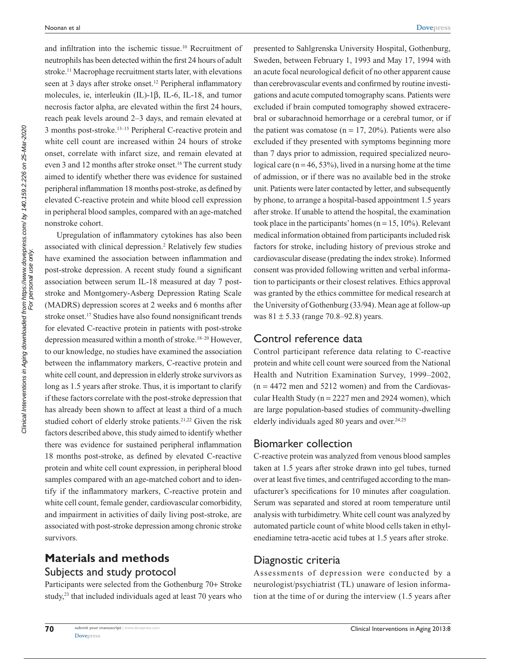**[Dovepress](www.dovepress.com)**

and infiltration into the ischemic tissue.<sup>10</sup> Recruitment of neutrophils has been detected within the first 24 hours of adult stroke.<sup>11</sup> Macrophage recruitment starts later, with elevations seen at 3 days after stroke onset.<sup>12</sup> Peripheral inflammatory molecules, ie, interleukin (IL)-1β, IL-6, IL-18, and tumor necrosis factor alpha, are elevated within the first 24 hours, reach peak levels around 2–3 days, and remain elevated at 3 months post-stroke.13–15 Peripheral C-reactive protein and white cell count are increased within 24 hours of stroke onset, correlate with infarct size, and remain elevated at even 3 and 12 months after stroke onset.<sup>16</sup> The current study aimed to identify whether there was evidence for sustained peripheral inflammation 18 months post-stroke, as defined by elevated C-reactive protein and white blood cell expression in peripheral blood samples, compared with an age-matched nonstroke cohort.

Upregulation of inflammatory cytokines has also been associated with clinical depression.<sup>2</sup> Relatively few studies have examined the association between inflammation and post-stroke depression. A recent study found a significant association between serum IL-18 measured at day 7 poststroke and Montgomery-Asberg Depression Rating Scale (MADRS) depression scores at 2 weeks and 6 months after stroke onset.17 Studies have also found nonsignificant trends for elevated C-reactive protein in patients with post-stroke depression measured within a month of stroke.18–20 However, to our knowledge, no studies have examined the association between the inflammatory markers, C-reactive protein and white cell count, and depression in elderly stroke survivors as long as 1.5 years after stroke. Thus, it is important to clarify if these factors correlate with the post-stroke depression that has already been shown to affect at least a third of a much studied cohort of elderly stroke patients.<sup>21,22</sup> Given the risk factors described above, this study aimed to identify whether there was evidence for sustained peripheral inflammation 18 months post-stroke, as defined by elevated C-reactive protein and white cell count expression, in peripheral blood samples compared with an age-matched cohort and to identify if the inflammatory markers, C-reactive protein and white cell count, female gender, cardiovascular comorbidity, and impairment in activities of daily living post-stroke, are associated with post-stroke depression among chronic stroke survivors.

#### **Materials and methods** Subjects and study protocol

Participants were selected from the Gothenburg 70+ Stroke study,<sup>23</sup> that included individuals aged at least 70 years who presented to Sahlgrenska University Hospital, Gothenburg, Sweden, between February 1, 1993 and May 17, 1994 with an acute focal neurological deficit of no other apparent cause than cerebrovascular events and confirmed by routine investigations and acute computed tomography scans. Patients were excluded if brain computed tomography showed extracerebral or subarachnoid hemorrhage or a cerebral tumor, or if the patient was comatose ( $n = 17, 20\%$ ). Patients were also excluded if they presented with symptoms beginning more than 7 days prior to admission, required specialized neurological care  $(n = 46, 53\%)$ , lived in a nursing home at the time of admission, or if there was no available bed in the stroke unit. Patients were later contacted by letter, and subsequently by phone, to arrange a hospital-based appointment 1.5 years after stroke. If unable to attend the hospital, the examination took place in the participants' homes ( $n = 15, 10\%$ ). Relevant medical information obtained from participants included risk factors for stroke, including history of previous stroke and cardiovascular disease (predating the index stroke). Informed consent was provided following written and verbal information to participants or their closest relatives. Ethics approval was granted by the ethics committee for medical research at the University of Gothenburg (33/94). Mean age at follow-up was  $81 \pm 5.33$  (range 70.8–92.8) years.

#### Control reference data

Control participant reference data relating to C-reactive protein and white cell count were sourced from the National Health and Nutrition Examination Survey, 1999–2002,  $(n = 4472 \text{ men and } 5212 \text{ women})$  and from the Cardiovascular Health Study ( $n = 2227$  men and 2924 women), which are large population-based studies of community-dwelling elderly individuals aged 80 years and over. $24,25$ 

#### Biomarker collection

C-reactive protein was analyzed from venous blood samples taken at 1.5 years after stroke drawn into gel tubes, turned over at least five times, and centrifuged according to the manufacturer's specifications for 10 minutes after coagulation. Serum was separated and stored at room temperature until analysis with turbidimetry. White cell count was analyzed by automated particle count of white blood cells taken in ethylenediamine tetra-acetic acid tubes at 1.5 years after stroke.

#### Diagnostic criteria

Assessments of depression were conducted by a neurologist/psychiatrist (TL) unaware of lesion information at the time of or during the interview (1.5 years after

**70**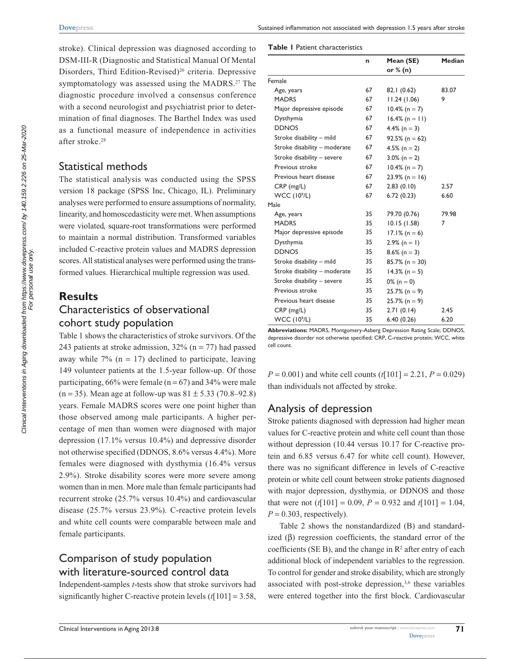stroke). Clinical depression was diagnosed according to DSM-III-R (Diagnostic and Statistical Manual Of Mental Disorders, Third Edition-Revised)<sup>26</sup> criteria. Depressive symptomatology was assessed using the MADRS.<sup>27</sup> The diagnostic procedure involved a consensus conference with a second neurologist and psychiatrist prior to determination of final diagnoses. The Barthel Index was used as a functional measure of independence in activities after stroke.28

#### Statistical methods

The statistical analysis was conducted using the SPSS version 18 package (SPSS Inc, Chicago, IL). Preliminary analyses were performed to ensure assumptions of normality, linearity, and homoscedasticity were met. When assumptions were violated, square-root transformations were performed to maintain a normal distribution. Transformed variables included C-reactive protein values and MADRS depression scores. All statistical analyses were performed using the transformed values. Hierarchical multiple regression was used.

## **Results** Characteristics of observational cohort study population

Table 1 shows the characteristics of stroke survivors. Of the 243 patients at stroke admission,  $32\%$  (n = 77) had passed away while  $7\%$  (n = 17) declined to participate, leaving 149 volunteer patients at the 1.5-year follow-up. Of those participating,  $66\%$  were female (n = 67) and 34% were male  $(n = 35)$ . Mean age at follow-up was  $81 \pm 5.33$  (70.8–92.8) years. Female MADRS scores were one point higher than those observed among male participants. A higher percentage of men than women were diagnosed with major depression (17.1% versus 10.4%) and depressive disorder not otherwise specified (DDNOS, 8.6% versus 4.4%). More females were diagnosed with dysthymia (16.4% versus 2.9%). Stroke disability scores were more severe among women than in men. More male than female participants had recurrent stroke (25.7% versus 10.4%) and cardiovascular disease (25.7% versus 23.9%). C-reactive protein levels and white cell counts were comparable between male and female participants.

## Comparison of study population with literature-sourced control data

Independent-samples *t*-tests show that stroke survivors had significantly higher C-reactive protein levels (*t*[101] = 3.58,

| <b>Table I Patient characteristics</b> |  |
|----------------------------------------|--|
|----------------------------------------|--|

|                               | n  | Mean (SE)<br>or $% (n)$ | Median |
|-------------------------------|----|-------------------------|--------|
| Female                        |    |                         |        |
| Age, years                    | 67 | 82.1 (0.62)             | 83.07  |
| <b>MADRS</b>                  | 67 | 11.24(1.06)             | 9      |
| Major depressive episode      | 67 | $10.4\%$ (n = 7)        |        |
| Dysthymia                     | 67 | $16.4\%$ (n = 11)       |        |
| <b>DDNOS</b>                  | 67 | 4.4% ( $n = 3$ )        |        |
| Stroke disability - mild      | 67 | $92.5\%$ (n = 62)       |        |
| Stroke disability - moderate  | 67 | 4.5% ( $n = 2$ )        |        |
| Stroke disability - severe    | 67 | $3.0\%$ (n = 2)         |        |
| Previous stroke               | 67 | $10.4\%$ (n = 7)        |        |
| Previous heart disease        | 67 | $23.9\%$ (n = 16)       |        |
| CRP (mg/L)                    | 67 | 2.83(0.10)              | 2.57   |
| <b>WCC (10<sup>9</sup>/L)</b> | 67 | 6.72(0.23)              | 6.60   |
| Male                          |    |                         |        |
| Age, years                    | 35 | 79.70 (0.76)            | 79.98  |
| <b>MADRS</b>                  | 35 | 10.15(1.58)             | 7      |
| Major depressive episode      | 35 | $17.1\%$ (n = 6)        |        |
| Dysthymia                     | 35 | $2.9\%$ (n = 1)         |        |
| <b>DDNOS</b>                  | 35 | $8.6\%$ (n = 3)         |        |
| Stroke disability - mild      | 35 | $85.7\%$ (n = 30)       |        |
| Stroke disability - moderate  | 35 | $14.3\%$ (n = 5)        |        |
| Stroke disability - severe    | 35 | $0\%$ (n = 0)           |        |
| Previous stroke               | 35 | $25.7\%$ (n = 9)        |        |
| Previous heart disease        | 35 | $25.7\%$ (n = 9)        |        |
| CRP (mg/L)                    | 35 | 2.71(0.14)              | 2.45   |
| <b>WCC (10<sup>9</sup>/L)</b> | 35 | 6.40(0.26)              | 6.20   |

**Abbreviations:** MADRS, Montgomery-Asberg Depression Rating Scale; DDNOS, depressive disorder not otherwise specified; CRP, C-reactive protein; WCC, white cell count.

*P* = 0.001) and white cell counts (*t*[101] = 2.21, *P* = 0.029) than individuals not affected by stroke.

#### Analysis of depression

Stroke patients diagnosed with depression had higher mean values for C-reactive protein and white cell count than those without depression (10.44 versus 10.17 for C-reactive protein and 6.85 versus 6.47 for white cell count). However, there was no significant difference in levels of C-reactive protein or white cell count between stroke patients diagnosed with major depression, dysthymia, or DDNOS and those that were not  $(t[101] = 0.09, P = 0.932$  and  $t[101] = 1.04$ ,  $P = 0.303$ , respectively).

Table 2 shows the nonstandardized (B) and standardized (β) regression coefficients, the standard error of the coefficients (SE B), and the change in  $\mathbb{R}^2$  after entry of each additional block of independent variables to the regression. To control for gender and stroke disability, which are strongly associated with post-stroke depression, $3,6$  these variables were entered together into the first block. Cardiovascular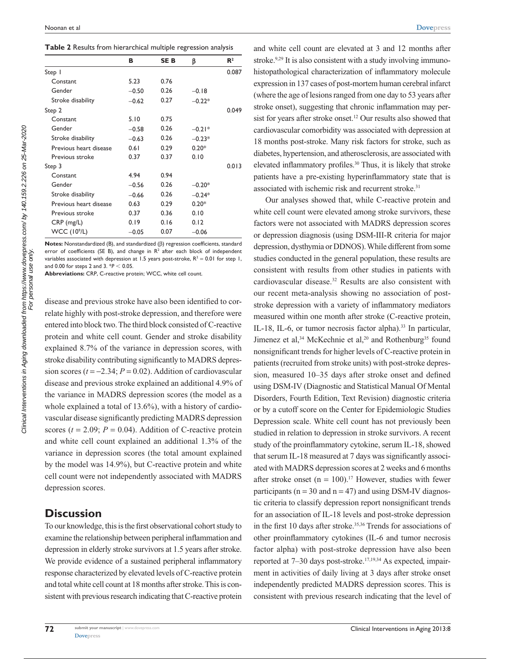|  |  | Table 2 Results from hierarchical multiple regression analysis |  |
|--|--|----------------------------------------------------------------|--|
|  |  |                                                                |  |

|                               | в       | SE B | β        | $\mathbb{R}^2$ |
|-------------------------------|---------|------|----------|----------------|
| Step I                        |         |      |          | 0.087          |
| Constant                      | 5.23    | 0.76 |          |                |
| Gender                        | $-0.50$ | 0.26 | $-0.18$  |                |
| Stroke disability             | $-0.62$ | 0.27 | $-0.22*$ |                |
| Step 2                        |         |      |          | 0.049          |
| Constant                      | 5.10    | 0.75 |          |                |
| Gender                        | $-0.58$ | 0.26 | $-0.21*$ |                |
| Stroke disability             | $-0.63$ | 0.26 | $-0.23*$ |                |
| Previous heart disease        | 0.61    | 0.29 | $0.20*$  |                |
| Previous stroke               | 0.37    | 0.37 | 0.10     |                |
| Step 3                        |         |      |          | 0.013          |
| Constant                      | 4.94    | 0.94 |          |                |
| Gender                        | $-0.56$ | 0.26 | $-0.20*$ |                |
| Stroke disability             | $-0.66$ | 0.26 | $-0.24*$ |                |
| Previous heart disease        | 0.63    | 0.29 | $0.20*$  |                |
| Previous stroke               | 0.37    | 0.36 | 0.10     |                |
| $CRP$ (mg/L)                  | 0.19    | 0.16 | 0.12     |                |
| <b>WCC (10<sup>9</sup>/L)</b> | $-0.05$ | 0.07 | $-0.06$  |                |

**Notes:** Nonstandardized (B), and standardized (β) regression coefficients, standard error of coefficients (SE B), and change in  $R<sup>2</sup>$  after each block of independent variables associated with depression at 1.5 years post-stroke,  $R^2 = 0.01$  for step 1, and 0.00 for steps 2 and 3.  $*P < 0.05$ .

**Abbreviations:** CRP, C-reactive protein; WCC, white cell count.

disease and previous stroke have also been identified to correlate highly with post-stroke depression, and therefore were entered into block two. The third block consisted of C-reactive protein and white cell count. Gender and stroke disability explained 8.7% of the variance in depression scores, with stroke disability contributing significantly to MADRS depression scores  $(t = -2.34; P = 0.02)$ . Addition of cardiovascular disease and previous stroke explained an additional 4.9% of the variance in MADRS depression scores (the model as a whole explained a total of 13.6%), with a history of cardiovascular disease significantly predicting MADRS depression scores  $(t = 2.09; P = 0.04)$ . Addition of C-reactive protein and white cell count explained an additional 1.3% of the variance in depression scores (the total amount explained by the model was 14.9%), but C-reactive protein and white cell count were not independently associated with MADRS depression scores.

#### **Discussion**

To our knowledge, this is the first observational cohort study to examine the relationship between peripheral inflammation and depression in elderly stroke survivors at 1.5 years after stroke. We provide evidence of a sustained peripheral inflammatory response characterized by elevated levels of C-reactive protein and total white cell count at 18 months after stroke. This is consistent with previous research indicating that C-reactive protein

and white cell count are elevated at 3 and 12 months after stroke.<sup>9,29</sup> It is also consistent with a study involving immunohistopathological characterization of inflammatory molecule expression in 137 cases of post-mortem human cerebral infarct (where the age of lesions ranged from one day to 53 years after stroke onset), suggesting that chronic inflammation may persist for years after stroke onset.<sup>12</sup> Our results also showed that cardiovascular comorbidity was associated with depression at 18 months post-stroke. Many risk factors for stroke, such as diabetes, hypertension, and atherosclerosis, are associated with elevated inflammatory profiles.30 Thus, it is likely that stroke patients have a pre-existing hyperinflammatory state that is associated with ischemic risk and recurrent stroke.<sup>31</sup>

Our analyses showed that, while C-reactive protein and white cell count were elevated among stroke survivors, these factors were not associated with MADRS depression scores or depression diagnosis (using DSM-III-R criteria for major depression, dysthymia or DDNOS). While different from some studies conducted in the general population, these results are consistent with results from other studies in patients with cardiovascular disease.32 Results are also consistent with our recent meta-analysis showing no association of poststroke depression with a variety of inflammatory mediators measured within one month after stroke (C-reactive protein, IL-18, IL-6, or tumor necrosis factor alpha).<sup>33</sup> In particular, Jimenez et al,<sup>34</sup> McKechnie et al,<sup>20</sup> and Rothenburg<sup>35</sup> found nonsignificant trends for higher levels of C-reactive protein in patients (recruited from stroke units) with post-stroke depression, measured 10–35 days after stroke onset and defined using DSM-IV (Diagnostic and Statistical Manual Of Mental Disorders, Fourth Edition, Text Revision) diagnostic criteria or by a cutoff score on the Center for Epidemiologic Studies Depression scale. White cell count has not previously been studied in relation to depression in stroke survivors. A recent study of the proinflammatory cytokine, serum IL-18, showed that serum IL-18 measured at 7 days was significantly associated with MADRS depression scores at 2 weeks and 6 months after stroke onset ( $n = 100$ ).<sup>17</sup> However, studies with fewer participants ( $n = 30$  and  $n = 47$ ) and using DSM-IV diagnostic criteria to classify depression report nonsignificant trends for an association of IL-18 levels and post-stroke depression in the first 10 days after stroke.<sup>35,36</sup> Trends for associations of other proinflammatory cytokines (IL-6 and tumor necrosis factor alpha) with post-stroke depression have also been reported at 7–30 days post-stroke.17,19,34 As expected, impairment in activities of daily living at 3 days after stroke onset independently predicted MADRS depression scores. This is consistent with previous research indicating that the level of

Clinical Interventions in Aging downloaded from https://www.dovepress.com/ by 140.159.2.226 on 25-Mar-2020 For personal use only.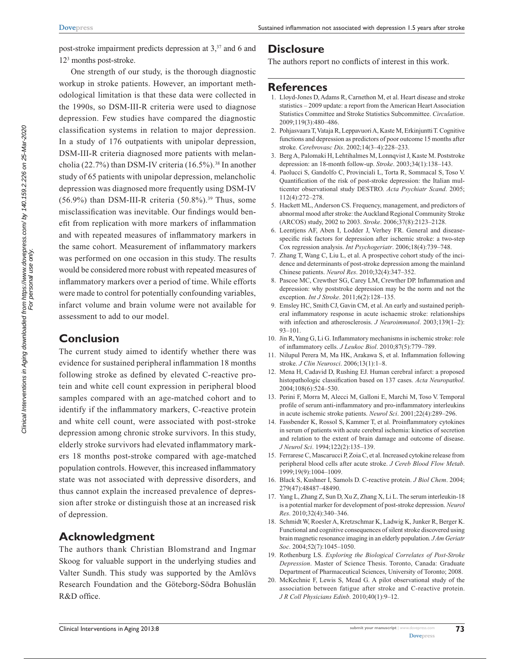post-stroke impairment predicts depression at 3,37 and 6 and 123 months post-stroke.

One strength of our study, is the thorough diagnostic workup in stroke patients. However, an important methodological limitation is that these data were collected in the 1990s, so DSM-III-R criteria were used to diagnose depression. Few studies have compared the diagnostic classification systems in relation to major depression. In a study of 176 outpatients with unipolar depression, DSM-III-R criteria diagnosed more patients with melancholia (22.7%) than DSM-IV criteria (16.5%).<sup>38</sup> In another study of 65 patients with unipolar depression, melancholic depression was diagnosed more frequently using DSM-IV (56.9%) than DSM-III-R criteria (50.8%).<sup>39</sup> Thus, some misclassification was inevitable. Our findings would benefit from replication with more markers of inflammation and with repeated measures of inflammatory markers in the same cohort. Measurement of inflammatory markers was performed on one occasion in this study. The results would be considered more robust with repeated measures of inflammatory markers over a period of time. While efforts were made to control for potentially confounding variables, infarct volume and brain volume were not available for assessment to add to our model.

#### **Conclusion**

The current study aimed to identify whether there was evidence for sustained peripheral inflammation 18 months following stroke as defined by elevated C-reactive protein and white cell count expression in peripheral blood samples compared with an age-matched cohort and to identify if the inflammatory markers, C-reactive protein and white cell count, were associated with post-stroke depression among chronic stroke survivors. In this study, elderly stroke survivors had elevated inflammatory markers 18 months post-stroke compared with age-matched population controls. However, this increased inflammatory state was not associated with depressive disorders, and thus cannot explain the increased prevalence of depression after stroke or distinguish those at an increased risk of depression.

## **Acknowledgment**

The authors thank Christian Blomstrand and Ingmar Skoog for valuable support in the underlying studies and Valter Sundh. This study was supported by the Amlövs Research Foundation and the Göteborg-Södra Bohuslän R&D office.

#### **Disclosure**

The authors report no conflicts of interest in this work.

#### **References**

- 1. Lloyd-Jones D, Adams R, Carnethon M, et al. Heart disease and stroke statistics – 2009 update: a report from the American Heart Association Statistics Committee and Stroke Statistics Subcommittee. *Circulation*. 2009;119(3):480–486.
- 2. Pohjasvaara T, Vataja R, Leppavuori A, Kaste M, Erkinjuntti T. Cognitive functions and depression as predictors of poor outcome 15 months after stroke. *Cerebrovasc Dis*. 2002;14(3–4):228–233.
- 3. Berg A, Palomaki H, Lehtihalmes M, Lonnqvist J, Kaste M. Poststroke depression: an 18-month follow-up. *Stroke*. 2003;34(1):138–143.
- 4. Paolucci S, Gandolfo C, Provinciali L, Torta R, Sommacal S, Toso V. Quantification of the risk of post-stroke depression: the Italian multicenter observational study DESTRO. *Acta Psychiatr Scand*. 2005; 112(4):272–278.
- 5. Hackett ML, Anderson CS. Frequency, management, and predictors of abnormal mood after stroke: the Auckland Regional Community Stroke (ARCOS) study, 2002 to 2003. *Stroke*. 2006;37(8):2123–2128.
- 6. Leentjens AF, Aben I, Lodder J, Verhey FR. General and diseasespecific risk factors for depression after ischemic stroke: a two-step Cox regression analysis. *Int Psychogeriatr*. 2006;18(4):739–748.
- 7. Zhang T, Wang C, Liu L, et al. A prospective cohort study of the incidence and determinants of post-stroke depression among the mainland Chinese patients. *Neurol Res*. 2010;32(4):347–352.
- 8. Pascoe MC, Crewther SG, Carey LM, Crewther DP. Inflammation and depression: why poststroke depression may be the norm and not the exception. *Int J Stroke*. 2011;6(2):128–135.
- 9. Emsley HC, Smith CJ, Gavin CM, et al. An early and sustained peripheral inflammatory response in acute ischaemic stroke: relationships with infection and atherosclerosis. *J Neuroimmunol*. 2003;139(1–2): 93–101.
- 10. Jin R, Yang G, Li G. Inflammatory mechanisms in ischemic stroke: role of inflammatory cells. *J Leukoc Biol*. 2010;87(5):779–789.
- 11. Nilupul Perera M, Ma HK, Arakawa S, et al. Inflammation following stroke. *J Clin Neurosci*. 2006;13(1):1–8.
- 12. Mena H, Cadavid D, Rushing EJ. Human cerebral infarct: a proposed histopathologic classification based on 137 cases. *Acta Neuropathol*. 2004;108(6):524–530.
- 13. Perini F, Morra M, Alecci M, Galloni E, Marchi M, Toso V. Temporal profile of serum anti-inflammatory and pro-inflammatory interleukins in acute ischemic stroke patients. *Neurol Sci*. 2001;22(4):289–296.
- 14. Fassbender K, Rossol S, Kammer T, et al. Proinflammatory cytokines in serum of patients with acute cerebral ischemia: kinetics of secretion and relation to the extent of brain damage and outcome of disease. *J Neurol Sci*. 1994;122(2):135–139.
- 15. Ferrarese C, Mascarucci P, Zoia C, et al. Increased cytokine release from peripheral blood cells after acute stroke. *J Cereb Blood Flow Metab*. 1999;19(9):1004–1009.
- 16. Black S, Kushner I, Samols D. C-reactive protein. *J Biol Chem*. 2004; 279(47):48487–48490.
- 17. Yang L, Zhang Z, Sun D, Xu Z, Zhang X, Li L. The serum interleukin-18 is a potential marker for development of post-stroke depression. *Neurol Res*. 2010;32(4):340–346.
- 18. Schmidt W, Roesler A, Kretzschmar K, Ladwig K, Junker R, Berger K. Functional and cognitive consequences of silent stroke discovered using brain magnetic resonance imaging in an elderly population. *J Am Geriatr Soc*. 2004;52(7):1045–1050.
- 19. Rothenburg LS. *Exploring the Biological Correlates of Post-Stroke Depression*. Master of Science Thesis. Toronto, Canada: Graduate Department of Pharmaceutical Sciences, University of Toronto; 2008.
- 20. McKechnie F, Lewis S, Mead G. A pilot observational study of the association between fatigue after stroke and C-reactive protein. *J R Coll Physicians Edinb*. 2010;40(1):9–12.